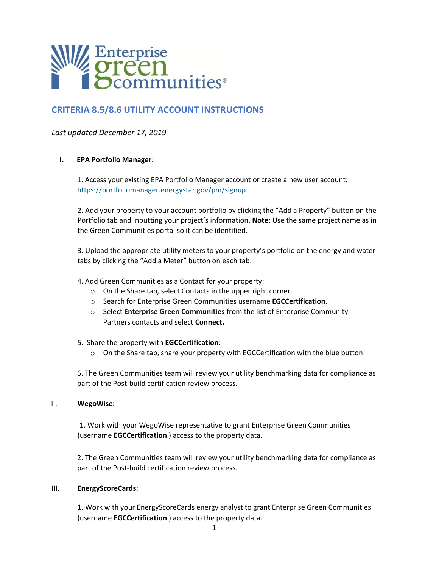

# **CRITERIA 8.5/8.6 UTILITY ACCOUNT INSTRUCTIONS**

## *Last updated December 17, 2019*

## **I. EPA Portfolio Manager**:

1. Access your existing EPA Portfolio Manager account or create a new user account: https://portfoliomanager.energystar.gov/pm/signup

2. Add your property to your account portfolio by clicking the "Add a Property" button on the Portfolio tab and inputting your project's information. **Note:** Use the same project name as in the Green Communities portal so it can be identified.

3. Upload the appropriate utility meters to your property's portfolio on the energy and water tabs by clicking the "Add a Meter" button on each tab.

4. Add Green Communities as a Contact for your property:

- o On the Share tab, select Contacts in the upper right corner.
- o Search for Enterprise Green Communities username **EGCCertification.**
- o Select **Enterprise Green Communities** from the list of Enterprise Community Partners contacts and select **Connect.**
- 5. Share the property with **EGCCertification**:
	- $\circ$  On the Share tab, share your property with EGCCertification with the blue button

6. The Green Communities team will review your utility benchmarking data for compliance as part of the Post-build certification review process.

### II. **WegoWise:**

1. Work with your WegoWise representative to grant Enterprise Green Communities (username **EGCCertification** ) access to the property data.

2. The Green Communities team will review your utility benchmarking data for compliance as part of the Post-build certification review process.

### III. **EnergyScoreCards**:

1. Work with your EnergyScoreCards energy analyst to grant Enterprise Green Communities (username **EGCCertification** ) access to the property data.